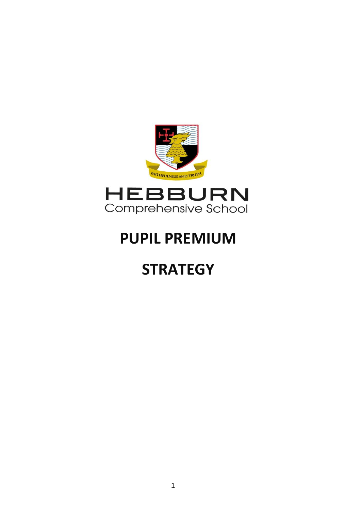

# **PUPIL PREMIUM**

# **STRATEGY**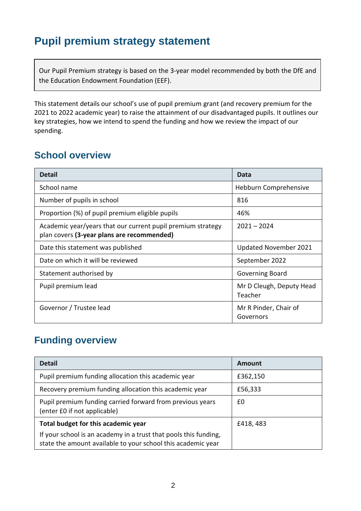## **Pupil premium strategy statement**

Our Pupil Premium strategy is based on the 3-year model recommended by both the DfE and the Education Endowment Foundation (EEF).

This statement details our school's use of pupil premium grant (and recovery premium for the 2021 to 2022 academic year) to raise the attainment of our disadvantaged pupils. It outlines our key strategies, how we intend to spend the funding and how we review the impact of our spending.

### **School overview**

| <b>Detail</b>                                                                                             | Data                                |
|-----------------------------------------------------------------------------------------------------------|-------------------------------------|
| School name                                                                                               | Hebburn Comprehensive               |
| Number of pupils in school                                                                                | 816                                 |
| Proportion (%) of pupil premium eligible pupils                                                           | 46%                                 |
| Academic year/years that our current pupil premium strategy<br>plan covers (3-year plans are recommended) | $2021 - 2024$                       |
| Date this statement was published                                                                         | <b>Updated November 2021</b>        |
| Date on which it will be reviewed                                                                         | September 2022                      |
| Statement authorised by                                                                                   | Governing Board                     |
| Pupil premium lead                                                                                        | Mr D Cleugh, Deputy Head<br>Teacher |
| Governor / Trustee lead                                                                                   | Mr R Pinder, Chair of<br>Governors  |

#### **Funding overview**

| <b>Detail</b>                                                                                                                    | Amount   |
|----------------------------------------------------------------------------------------------------------------------------------|----------|
| Pupil premium funding allocation this academic year                                                                              | £362,150 |
| Recovery premium funding allocation this academic year                                                                           | £56,333  |
| Pupil premium funding carried forward from previous years<br>(enter £0 if not applicable)                                        | £0       |
| Total budget for this academic year                                                                                              | £418,483 |
| If your school is an academy in a trust that pools this funding,<br>state the amount available to your school this academic year |          |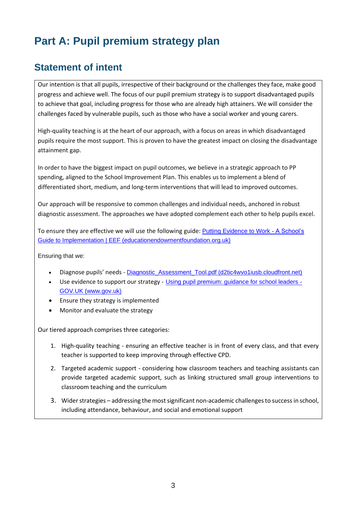# **Part A: Pupil premium strategy plan**

### **Statement of intent**

Our intention is that all pupils, irrespective of their background or the challenges they face, make good progress and achieve well. The focus of our pupil premium strategy is to support disadvantaged pupils to achieve that goal, including progress for those who are already high attainers. We will consider the challenges faced by vulnerable pupils, such as those who have a social worker and young carers.

High-quality teaching is at the heart of our approach, with a focus on areas in which disadvantaged pupils require the most support. This is proven to have the greatest impact on closing the disadvantage attainment gap.

In order to have the biggest impact on pupil outcomes, we believe in a strategic approach to PP spending, aligned to the School Improvement Plan. This enables us to implement a blend of differentiated short, medium, and long-term interventions that will lead to improved outcomes.

Our approach will be responsive to common challenges and individual needs, anchored in robust diagnostic assessment. The approaches we have adopted complement each other to help pupils excel.

To ensure they are effective we will use the following guide: [Putting Evidence to Work -](https://educationendowmentfoundation.org.uk/education-evidence/guidance-reports/implementation) A School's [Guide to Implementation | EEF \(educationendowmentfoundation.org.uk\)](https://educationendowmentfoundation.org.uk/education-evidence/guidance-reports/implementation)

Ensuring that we:

- Diagnose pupils' needs [Diagnostic\\_Assessment\\_Tool.pdf \(d2tic4wvo1iusb.cloudfront.net\)](https://d2tic4wvo1iusb.cloudfront.net/documents/news/Diagnostic_Assessment_Tool.pdf)
- Use evidence to support our strategy [Using pupil premium: guidance for school leaders -](https://www.gov.uk/guidance/pupil-premium-effective-use-and-accountability) [GOV.UK \(www.gov.uk\)](https://www.gov.uk/guidance/pupil-premium-effective-use-and-accountability)
- Ensure they strategy is implemented
- Monitor and evaluate the strategy

Our tiered approach comprises three categories:

- 1. High-quality teaching ensuring an effective teacher is in front of every class, and that every teacher is supported to keep improving through effective CPD.
- 2. Targeted academic support considering how classroom teachers and teaching assistants can provide targeted academic support, such as linking structured small group interventions to classroom teaching and the curriculum
- 3. Wider strategies addressing the most significant non-academic challenges to success in school, including attendance, behaviour, and social and emotional support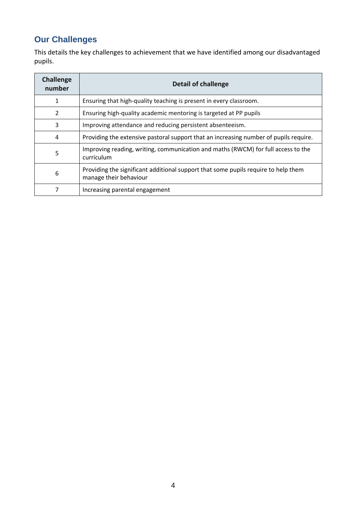### **Our Challenges**

This details the key challenges to achievement that we have identified among our disadvantaged pupils.

| <b>Challenge</b><br>number | <b>Detail of challenge</b>                                                                                   |
|----------------------------|--------------------------------------------------------------------------------------------------------------|
| 1                          | Ensuring that high-quality teaching is present in every classroom.                                           |
| $\overline{2}$             | Ensuring high-quality academic mentoring is targeted at PP pupils                                            |
| 3                          | Improving attendance and reducing persistent absenteeism.                                                    |
| 4                          | Providing the extensive pastoral support that an increasing number of pupils require.                        |
| 5                          | Improving reading, writing, communication and maths (RWCM) for full access to the<br>curriculum              |
| 6                          | Providing the significant additional support that some pupils require to help them<br>manage their behaviour |
|                            | Increasing parental engagement                                                                               |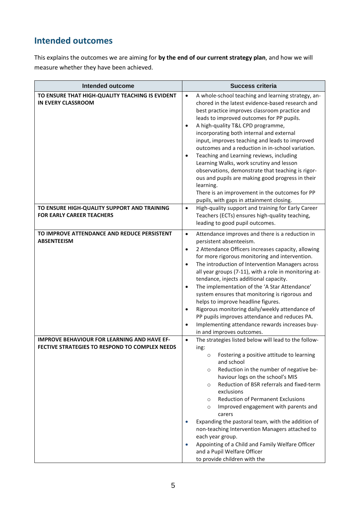#### **Intended outcomes**

This explains the outcomes we are aiming for **by the end of our current strategy plan**, and how we will measure whether they have been achieved.

| <b>Intended outcome</b>                                                                              | <b>Success criteria</b>                                                                                                                                                                                                                                                                                                                                                                                                                                                                                                                                                                                                                                                                                                                            |  |  |
|------------------------------------------------------------------------------------------------------|----------------------------------------------------------------------------------------------------------------------------------------------------------------------------------------------------------------------------------------------------------------------------------------------------------------------------------------------------------------------------------------------------------------------------------------------------------------------------------------------------------------------------------------------------------------------------------------------------------------------------------------------------------------------------------------------------------------------------------------------------|--|--|
| TO ENSURE THAT HIGH-QUALITY TEACHING IS EVIDENT<br><b>IN EVERY CLASSROOM</b>                         | A whole-school teaching and learning strategy, an-<br>$\bullet$<br>chored in the latest evidence-based research and<br>best practice improves classroom practice and<br>leads to improved outcomes for PP pupils.<br>A high-quality T&L CPD programme,<br>$\bullet$<br>incorporating both internal and external<br>input, improves teaching and leads to improved<br>outcomes and a reduction in in-school variation.<br>Teaching and Learning reviews, including<br>$\bullet$<br>Learning Walks, work scrutiny and lesson<br>observations, demonstrate that teaching is rigor-<br>ous and pupils are making good progress in their<br>learning.<br>There is an improvement in the outcomes for PP<br>pupils, with gaps in attainment closing.     |  |  |
| TO ENSURE HIGH-QUALITY SUPPORT AND TRAINING<br><b>FOR EARLY CAREER TEACHERS</b>                      | High-quality support and training for Early Career<br>$\bullet$<br>Teachers (ECTs) ensures high-quality teaching,<br>leading to good pupil outcomes.                                                                                                                                                                                                                                                                                                                                                                                                                                                                                                                                                                                               |  |  |
| TO IMPROVE ATTENDANCE AND REDUCE PERSISTENT<br><b>ABSENTEEISM</b>                                    | Attendance improves and there is a reduction in<br>$\bullet$<br>persistent absenteeism.<br>2 Attendance Officers increases capacity, allowing<br>$\bullet$<br>for more rigorous monitoring and intervention.<br>The introduction of Intervention Managers across<br>$\bullet$<br>all year groups (7-11), with a role in monitoring at-<br>tendance, injects additional capacity.<br>The implementation of the 'A Star Attendance'<br>$\bullet$<br>system ensures that monitoring is rigorous and<br>helps to improve headline figures.<br>Rigorous monitoring daily/weekly attendance of<br>$\bullet$<br>PP pupils improves attendance and reduces PA.<br>Implementing attendance rewards increases buy-<br>$\bullet$<br>in and improves outcomes. |  |  |
| <b>IMPROVE BEHAVIOUR FOR LEARNING AND HAVE EF-</b><br>FECTIVE STRATEGIES TO RESPOND TO COMPLEX NEEDS | The strategies listed below will lead to the follow-<br>$\bullet$<br>ing:<br>Fostering a positive attitude to learning<br>$\circ$<br>and school<br>Reduction in the number of negative be-<br>$\circ$<br>haviour logs on the school's MIS<br>Reduction of BSR referrals and fixed-term<br>$\circ$<br>exclusions<br><b>Reduction of Permanent Exclusions</b><br>$\circ$<br>Improved engagement with parents and<br>$\circ$<br>carers<br>Expanding the pastoral team, with the addition of<br>non-teaching Intervention Managers attached to<br>each year group.<br>Appointing of a Child and Family Welfare Officer<br>$\bullet$<br>and a Pupil Welfare Officer<br>to provide children with the                                                     |  |  |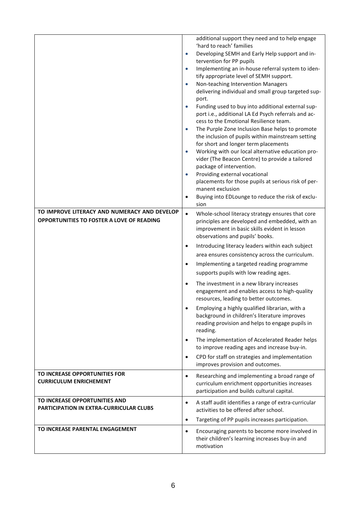|                                                                          | additional support they need and to help engage<br>'hard to reach' families<br>Developing SEMH and Early Help support and in-<br>$\bullet$<br>tervention for PP pupils                                                                                                               |
|--------------------------------------------------------------------------|--------------------------------------------------------------------------------------------------------------------------------------------------------------------------------------------------------------------------------------------------------------------------------------|
|                                                                          | Implementing an in-house referral system to iden-<br>$\bullet$<br>tify appropriate level of SEMH support.<br>Non-teaching Intervention Managers<br>$\bullet$<br>delivering individual and small group targeted sup-<br>port.                                                         |
|                                                                          | Funding used to buy into additional external sup-<br>$\bullet$<br>port i.e., additional LA Ed Psych referrals and ac-<br>cess to the Emotional Resilience team.<br>The Purple Zone Inclusion Base helps to promote<br>$\bullet$<br>the inclusion of pupils within mainstream setting |
|                                                                          | for short and longer term placements                                                                                                                                                                                                                                                 |
|                                                                          | Working with our local alternative education pro-<br>$\bullet$<br>vider (The Beacon Centre) to provide a tailored<br>package of intervention.                                                                                                                                        |
|                                                                          | Providing external vocational<br>$\bullet$<br>placements for those pupils at serious risk of per-<br>manent exclusion                                                                                                                                                                |
|                                                                          | Buying into EDLounge to reduce the risk of exclu-<br>$\bullet$<br>sion                                                                                                                                                                                                               |
| TO IMPROVE LITERACY AND NUMERACY AND DEVELOP                             |                                                                                                                                                                                                                                                                                      |
| OPPORTUNITIES TO FOSTER A LOVE OF READING                                | Whole-school literacy strategy ensures that core<br>$\bullet$<br>principles are developed and embedded, with an<br>improvement in basic skills evident in lesson<br>observations and pupils' books.                                                                                  |
|                                                                          | Introducing literacy leaders within each subject<br>$\bullet$                                                                                                                                                                                                                        |
|                                                                          | area ensures consistency across the curriculum.                                                                                                                                                                                                                                      |
|                                                                          | Implementing a targeted reading programme<br>٠                                                                                                                                                                                                                                       |
|                                                                          | supports pupils with low reading ages.                                                                                                                                                                                                                                               |
|                                                                          | The investment in a new library increases<br>$\bullet$<br>engagement and enables access to high-quality<br>resources, leading to better outcomes.                                                                                                                                    |
|                                                                          | Employing a highly qualified librarian, with a<br>background in children's literature improves<br>reading provision and helps to engage pupils in<br>reading.                                                                                                                        |
|                                                                          | The implementation of Accelerated Reader helps<br>$\bullet$<br>to improve reading ages and increase buy-in.                                                                                                                                                                          |
|                                                                          | CPD for staff on strategies and implementation<br>$\bullet$<br>improves provision and outcomes.                                                                                                                                                                                      |
| TO INCREASE OPPORTUNITIES FOR<br><b>CURRICULUM ENRICHEMENT</b>           | Researching and implementing a broad range of<br>$\bullet$<br>curriculum enrichment opportunities increases<br>participation and builds cultural capital.                                                                                                                            |
| TO INCREASE OPPORTUNITIES AND<br>PARTICIPATION IN EXTRA-CURRICULAR CLUBS | A staff audit identifies a range of extra-curricular<br>٠<br>activities to be offered after school.                                                                                                                                                                                  |
|                                                                          | Targeting of PP pupils increases participation.<br>$\bullet$                                                                                                                                                                                                                         |
| TO INCREASE PARENTAL ENGAGEMENT                                          | Encouraging parents to become more involved in<br>$\bullet$<br>their children's learning increases buy-in and<br>motivation                                                                                                                                                          |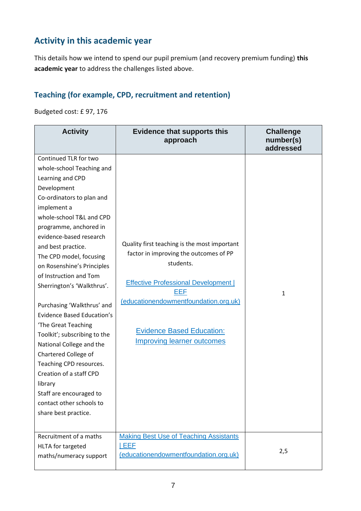### **Activity in this academic year**

This details how we intend to spend our pupil premium (and recovery premium funding) **this academic year** to address the challenges listed above.

#### **Teaching (for example, CPD, recruitment and retention)**

Budgeted cost: £ 97, 176

| <b>Activity</b>                                                                                                                                                                                                                                                                                                                                                                                                                                                                                                                                                                                                                                                                         | <b>Evidence that supports this</b><br>approach                                                                                                                                                                                                                              | <b>Challenge</b><br>number(s)<br>addressed |
|-----------------------------------------------------------------------------------------------------------------------------------------------------------------------------------------------------------------------------------------------------------------------------------------------------------------------------------------------------------------------------------------------------------------------------------------------------------------------------------------------------------------------------------------------------------------------------------------------------------------------------------------------------------------------------------------|-----------------------------------------------------------------------------------------------------------------------------------------------------------------------------------------------------------------------------------------------------------------------------|--------------------------------------------|
| Continued TLR for two<br>whole-school Teaching and<br>Learning and CPD<br>Development<br>Co-ordinators to plan and<br>implement a<br>whole-school T&L and CPD<br>programme, anchored in<br>evidence-based research<br>and best practice.<br>The CPD model, focusing<br>on Rosenshine's Principles<br>of Instruction and Tom<br>Sherrington's 'Walkthrus'.<br>Purchasing 'Walkthrus' and<br><b>Evidence Based Education's</b><br>'The Great Teaching<br>Toolkit'; subscribing to the<br>National College and the<br>Chartered College of<br>Teaching CPD resources.<br>Creation of a staff CPD<br>library<br>Staff are encouraged to<br>contact other schools to<br>share best practice. | Quality first teaching is the most important<br>factor in improving the outcomes of PP<br>students.<br><b>Effective Professional Development  </b><br>EEF<br>(educationendowmentfoundation.org.uk)<br><b>Evidence Based Education:</b><br><b>Improving learner outcomes</b> | 1                                          |
| Recruitment of a maths<br>HLTA for targeted<br>maths/numeracy support                                                                                                                                                                                                                                                                                                                                                                                                                                                                                                                                                                                                                   | <b>Making Best Use of Teaching Assistants</b><br><b>IEEF</b><br>(educationendowmentfoundation.org.uk)                                                                                                                                                                       | 2,5                                        |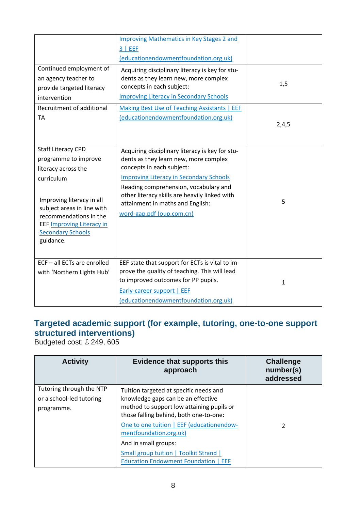|                                                                                                                                                                                                                                                          | <b>Improving Mathematics in Key Stages 2 and</b><br>$3$   EEF                                                                                                                                                                                                                                                                      |              |
|----------------------------------------------------------------------------------------------------------------------------------------------------------------------------------------------------------------------------------------------------------|------------------------------------------------------------------------------------------------------------------------------------------------------------------------------------------------------------------------------------------------------------------------------------------------------------------------------------|--------------|
|                                                                                                                                                                                                                                                          | (educationendowmentfoundation.org.uk)                                                                                                                                                                                                                                                                                              |              |
| Continued employment of<br>an agency teacher to<br>provide targeted literacy<br>intervention                                                                                                                                                             | Acquiring disciplinary literacy is key for stu-<br>dents as they learn new, more complex<br>concepts in each subject:<br><b>Improving Literacy in Secondary Schools</b>                                                                                                                                                            | 1,5          |
| Recruitment of additional                                                                                                                                                                                                                                | Making Best Use of Teaching Assistants   EEF                                                                                                                                                                                                                                                                                       |              |
| TA                                                                                                                                                                                                                                                       | (educationendowmentfoundation.org.uk)                                                                                                                                                                                                                                                                                              | 2,4,5        |
| <b>Staff Literacy CPD</b><br>programme to improve<br>literacy across the<br>curriculum<br>Improving literacy in all<br>subject areas in line with<br>recommendations in the<br><b>EEF Improving Literacy in</b><br><b>Secondary Schools</b><br>guidance. | Acquiring disciplinary literacy is key for stu-<br>dents as they learn new, more complex<br>concepts in each subject:<br><b>Improving Literacy in Secondary Schools</b><br>Reading comprehension, vocabulary and<br>other literacy skills are heavily linked with<br>attainment in maths and English:<br>word-gap.pdf (oup.com.cn) | 5            |
| ECF - all ECTs are enrolled<br>with 'Northern Lights Hub'                                                                                                                                                                                                | EEF state that support for ECTs is vital to im-<br>prove the quality of teaching. This will lead<br>to improved outcomes for PP pupils.<br>Early-career support   EEF<br>(educationendowmentfoundation.org.uk)                                                                                                                     | $\mathbf{1}$ |

#### **Targeted academic support (for example, tutoring, one-to-one support structured interventions)**

Budgeted cost: £ 249, 605

| <b>Activity</b>                                                    | <b>Evidence that supports this</b><br>approach                                                                                                                                                                   | <b>Challenge</b><br>number(s)<br>addressed |
|--------------------------------------------------------------------|------------------------------------------------------------------------------------------------------------------------------------------------------------------------------------------------------------------|--------------------------------------------|
| Tutoring through the NTP<br>or a school-led tutoring<br>programme. | Tuition targeted at specific needs and<br>knowledge gaps can be an effective<br>method to support low attaining pupils or<br>those falling behind, both one-to-one:<br>One to one tuition   EEF (educationendow- |                                            |
|                                                                    | mentfoundation.org.uk)<br>And in small groups:<br><b>Small group tuition   Toolkit Strand  </b><br><b>Education Endowment Foundation   EEF</b>                                                                   | 2                                          |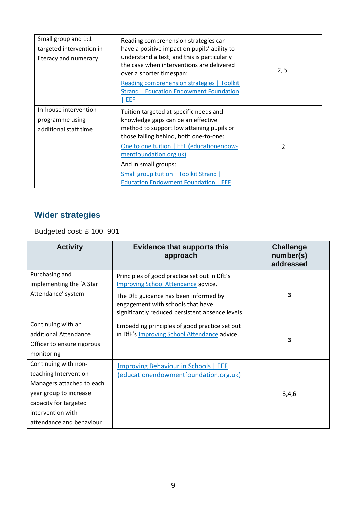| Small group and 1:1<br>targeted intervention in<br>literacy and numeracy | Reading comprehension strategies can<br>have a positive impact on pupils' ability to<br>understand a text, and this is particularly<br>the case when interventions are delivered<br>over a shorter timespan:<br><b>Reading comprehension strategies   Toolkit</b><br><b>Strand   Education Endowment Foundation</b><br>EEF                                         | 2, 5 |
|--------------------------------------------------------------------------|--------------------------------------------------------------------------------------------------------------------------------------------------------------------------------------------------------------------------------------------------------------------------------------------------------------------------------------------------------------------|------|
| In-house intervention<br>programme using<br>additional staff time        | Tuition targeted at specific needs and<br>knowledge gaps can be an effective<br>method to support low attaining pupils or<br>those falling behind, both one-to-one:<br>One to one tuition   EEF (educationendow-<br>mentfoundation.org.uk)<br>And in small groups:<br><b>Small group tuition   Toolkit Strand  </b><br><b>Education Endowment Foundation   EEF</b> | 2    |

## **Wider strategies**

Budgeted cost: £ 100, 901

| <b>Activity</b>                                                                                                                                                                | <b>Evidence that supports this</b><br>approach                                                                                                                                                                               | <b>Challenge</b><br>number(s)<br>addressed |
|--------------------------------------------------------------------------------------------------------------------------------------------------------------------------------|------------------------------------------------------------------------------------------------------------------------------------------------------------------------------------------------------------------------------|--------------------------------------------|
| Purchasing and<br>implementing the 'A Star<br>Attendance' system                                                                                                               | Principles of good practice set out in DfE's<br><b>Improving School Attendance advice.</b><br>The DfE guidance has been informed by<br>engagement with schools that have<br>significantly reduced persistent absence levels. | 3                                          |
| Continuing with an<br>additional Attendance<br>Officer to ensure rigorous<br>monitoring                                                                                        | Embedding principles of good practice set out<br>in DfE's Improving School Attendance advice.                                                                                                                                | 3                                          |
| Continuing with non-<br>teaching Intervention<br>Managers attached to each<br>year group to increase<br>capacity for targeted<br>intervention with<br>attendance and behaviour | <b>Improving Behaviour in Schools   EEF</b><br>(educationendowmentfoundation.org.uk)                                                                                                                                         | 3,4,6                                      |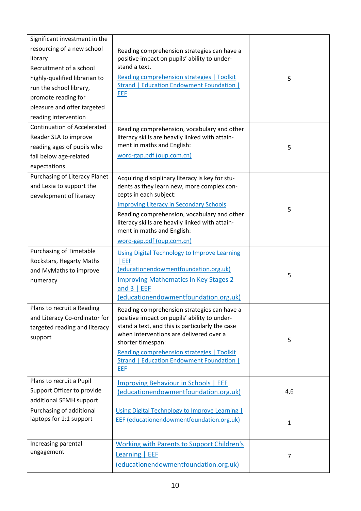| Significant investment in the      |                                                                                                |              |
|------------------------------------|------------------------------------------------------------------------------------------------|--------------|
| resourcing of a new school         | Reading comprehension strategies can have a                                                    |              |
| library                            | positive impact on pupils' ability to under-                                                   |              |
| Recruitment of a school            | stand a text.                                                                                  |              |
| highly-qualified librarian to      | Reading comprehension strategies   Toolkit                                                     | 5            |
| run the school library,            | <b>Strand   Education Endowment Foundation  </b>                                               |              |
| promote reading for                | EEF                                                                                            |              |
| pleasure and offer targeted        |                                                                                                |              |
| reading intervention               |                                                                                                |              |
| <b>Continuation of Accelerated</b> |                                                                                                |              |
| Reader SLA to improve              | Reading comprehension, vocabulary and other<br>literacy skills are heavily linked with attain- |              |
| reading ages of pupils who         | ment in maths and English:                                                                     | 5            |
| fall below age-related             | word-gap.pdf (oup.com.cn)                                                                      |              |
| expectations                       |                                                                                                |              |
| Purchasing of Literacy Planet      |                                                                                                |              |
| and Lexia to support the           | Acquiring disciplinary literacy is key for stu-<br>dents as they learn new, more complex con-  |              |
| development of literacy            | cepts in each subject:                                                                         |              |
|                                    | <b>Improving Literacy in Secondary Schools</b>                                                 |              |
|                                    | Reading comprehension, vocabulary and other                                                    | 5            |
|                                    | literacy skills are heavily linked with attain-                                                |              |
|                                    | ment in maths and English:                                                                     |              |
|                                    | word-gap.pdf (oup.com.cn)                                                                      |              |
| <b>Purchasing of Timetable</b>     | <b>Using Digital Technology to Improve Learning</b>                                            |              |
| Rockstars, Hegarty Maths           | EEF                                                                                            |              |
| and MyMaths to improve             | (educationendowmentfoundation.org.uk)                                                          | 5            |
| numeracy                           | <b>Improving Mathematics in Key Stages 2</b>                                                   |              |
|                                    | and $3$   EEF                                                                                  |              |
|                                    | (educationendowmentfoundation.org.uk)                                                          |              |
| Plans to recruit a Reading         | Reading comprehension strategies can have a                                                    |              |
| and Literacy Co-ordinator for      | positive impact on pupils' ability to under-                                                   |              |
| targeted reading and literacy      | stand a text, and this is particularly the case                                                |              |
| support                            | when interventions are delivered over a<br>shorter timespan:                                   | 5            |
|                                    | <b>Reading comprehension strategies   Toolkit</b>                                              |              |
|                                    | Strand   Education Endowment Foundation                                                        |              |
|                                    | EEF                                                                                            |              |
| Plans to recruit a Pupil           | Improving Behaviour in Schools   EEF                                                           |              |
| Support Officer to provide         | (educationendowmentfoundation.org.uk)                                                          | 4,6          |
| additional SEMH support            |                                                                                                |              |
| Purchasing of additional           | <b>Using Digital Technology to Improve Learning  </b>                                          |              |
| laptops for 1:1 support            | <b>EEF</b> (educationendowmentfoundation.org.uk)                                               |              |
|                                    |                                                                                                | $\mathbf{1}$ |
|                                    |                                                                                                |              |
| Increasing parental                | <b>Working with Parents to Support Children's</b>                                              |              |
| engagement                         | Learning   EEF                                                                                 | 7            |
|                                    | (educationendowmentfoundation.org.uk)                                                          |              |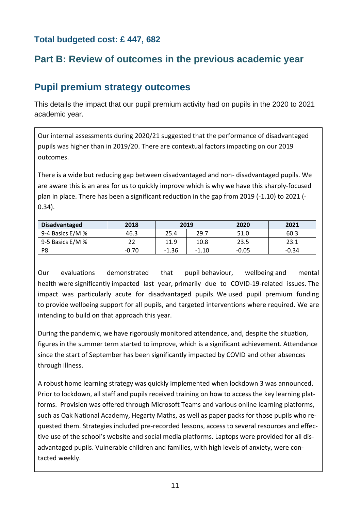#### **Total budgeted cost: £ 447, 682**

### **Part B: Review of outcomes in the previous academic year**

### **Pupil premium strategy outcomes**

This details the impact that our pupil premium activity had on pupils in the 2020 to 2021 academic year.

Our internal assessments during 2020/21 suggested that the performance of disadvantaged pupils was higher than in 2019/20. There are contextual factors impacting on our 2019 outcomes.

There is a wide but reducing gap between disadvantaged and non- disadvantaged pupils. We are aware this is an area for us to quickly improve which is why we have this sharply-focused plan in place. There has been a significant reduction in the gap from 2019 (-1.10) to 2021 (- 0.34).

| Disadvantaged    | 2018    |         | 2019    | 2020    | 2021    |
|------------------|---------|---------|---------|---------|---------|
| 9-4 Basics E/M % | 46.3    | 25.4    | 29.7    | 51.0    | 60.3    |
| 9-5 Basics E/M % |         | 11.9    | 10.8    | 23.5    | 23.1    |
| P8               | $-0.70$ | $-1.36$ | $-1.10$ | $-0.05$ | $-0.34$ |

Our evaluations demonstrated that pupil behaviour, wellbeing and mental health were significantly impacted last year, primarily due to COVID-19-related issues. The impact was particularly acute for disadvantaged pupils. We used pupil premium funding to provide wellbeing support for all pupils, and targeted interventions where required. We are intending to build on that approach this year.

During the pandemic, we have rigorously monitored attendance, and, despite the situation, figures in the summer term started to improve, which is a significant achievement. Attendance since the start of September has been significantly impacted by COVID and other absences through illness.

A robust home learning strategy was quickly implemented when lockdown 3 was announced. Prior to lockdown, all staff and pupils received training on how to access the key learning platforms. Provision was offered through Microsoft Teams and various online learning platforms, such as Oak National Academy, Hegarty Maths, as well as paper packs for those pupils who requested them. Strategies included pre-recorded lessons, access to several resources and effective use of the school's website and social media platforms. Laptops were provided for all disadvantaged pupils. Vulnerable children and families, with high levels of anxiety, were contacted weekly.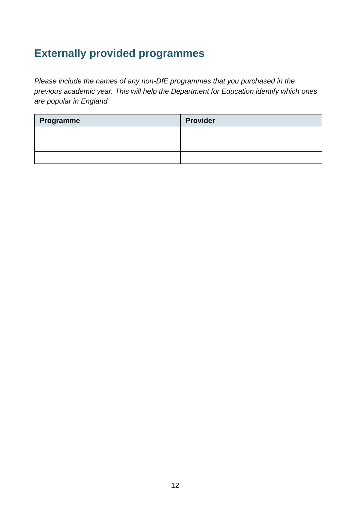# **Externally provided programmes**

*Please include the names of any non-DfE programmes that you purchased in the previous academic year. This will help the Department for Education identify which ones are popular in England*

| Programme | <b>Provider</b> |
|-----------|-----------------|
|           |                 |
|           |                 |
|           |                 |